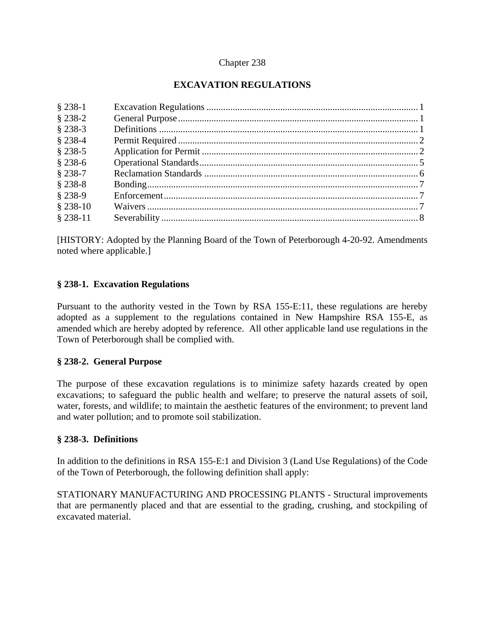#### Chapter 238

# **EXCAVATION REGULATIONS**

[HISTORY: Adopted by the Planning Board of the Town of Peterborough 4-20-92. Amendments noted where applicable.]

#### **§ 238-1. Excavation Regulations**

Pursuant to the authority vested in the Town by RSA 155-E:11, these regulations are hereby adopted as a supplement to the regulations contained in New Hampshire RSA 155-E, as amended which are hereby adopted by reference. All other applicable land use regulations in the Town of Peterborough shall be complied with.

#### **§ 238-2. General Purpose**

The purpose of these excavation regulations is to minimize safety hazards created by open excavations; to safeguard the public health and welfare; to preserve the natural assets of soil, water, forests, and wildlife; to maintain the aesthetic features of the environment; to prevent land and water pollution; and to promote soil stabilization.

#### **§ 238-3. Definitions**

In addition to the definitions in RSA 155-E:1 and Division 3 (Land Use Regulations) of the Code of the Town of Peterborough, the following definition shall apply:

STATIONARY MANUFACTURING AND PROCESSING PLANTS - Structural improvements that are permanently placed and that are essential to the grading, crushing, and stockpiling of excavated material.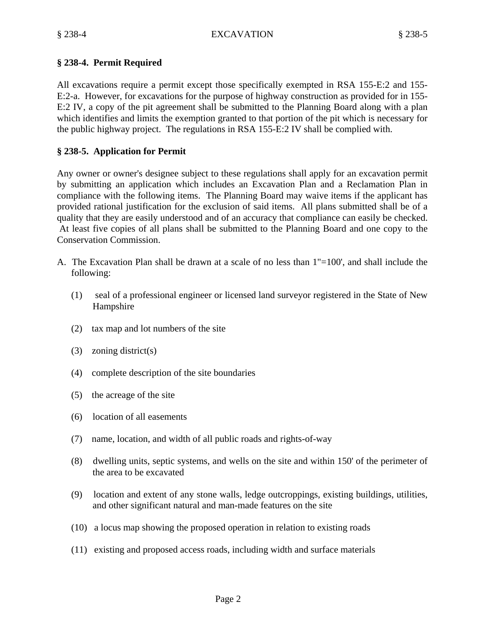## **§ 238-4. Permit Required**

All excavations require a permit except those specifically exempted in RSA 155-E:2 and 155- E:2-a. However, for excavations for the purpose of highway construction as provided for in 155- E:2 IV, a copy of the pit agreement shall be submitted to the Planning Board along with a plan which identifies and limits the exemption granted to that portion of the pit which is necessary for the public highway project. The regulations in RSA 155-E:2 IV shall be complied with.

## **§ 238-5. Application for Permit**

Any owner or owner's designee subject to these regulations shall apply for an excavation permit by submitting an application which includes an Excavation Plan and a Reclamation Plan in compliance with the following items. The Planning Board may waive items if the applicant has provided rational justification for the exclusion of said items. All plans submitted shall be of a quality that they are easily understood and of an accuracy that compliance can easily be checked. At least five copies of all plans shall be submitted to the Planning Board and one copy to the Conservation Commission.

- A. The Excavation Plan shall be drawn at a scale of no less than 1"=100', and shall include the following:
	- (1) seal of a professional engineer or licensed land surveyor registered in the State of New Hampshire
	- (2) tax map and lot numbers of the site
	- (3) zoning district(s)
	- (4) complete description of the site boundaries
	- (5) the acreage of the site
	- (6) location of all easements
	- (7) name, location, and width of all public roads and rights-of-way
	- (8) dwelling units, septic systems, and wells on the site and within 150' of the perimeter of the area to be excavated
	- (9) location and extent of any stone walls, ledge outcroppings, existing buildings, utilities, and other significant natural and man-made features on the site
	- (10) a locus map showing the proposed operation in relation to existing roads
	- (11) existing and proposed access roads, including width and surface materials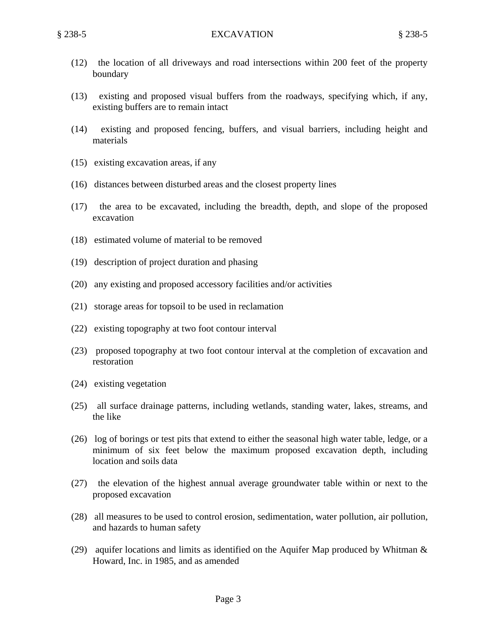- (12) the location of all driveways and road intersections within 200 feet of the property boundary
- (13) existing and proposed visual buffers from the roadways, specifying which, if any, existing buffers are to remain intact
- (14) existing and proposed fencing, buffers, and visual barriers, including height and materials
- (15) existing excavation areas, if any
- (16) distances between disturbed areas and the closest property lines
- (17) the area to be excavated, including the breadth, depth, and slope of the proposed excavation
- (18) estimated volume of material to be removed
- (19) description of project duration and phasing
- (20) any existing and proposed accessory facilities and/or activities
- (21) storage areas for topsoil to be used in reclamation
- (22) existing topography at two foot contour interval
- (23) proposed topography at two foot contour interval at the completion of excavation and restoration
- (24) existing vegetation
- (25) all surface drainage patterns, including wetlands, standing water, lakes, streams, and the like
- (26) log of borings or test pits that extend to either the seasonal high water table, ledge, or a minimum of six feet below the maximum proposed excavation depth, including location and soils data
- (27) the elevation of the highest annual average groundwater table within or next to the proposed excavation
- (28) all measures to be used to control erosion, sedimentation, water pollution, air pollution, and hazards to human safety
- (29) aquifer locations and limits as identified on the Aquifer Map produced by Whitman  $\&$ Howard, Inc. in 1985, and as amended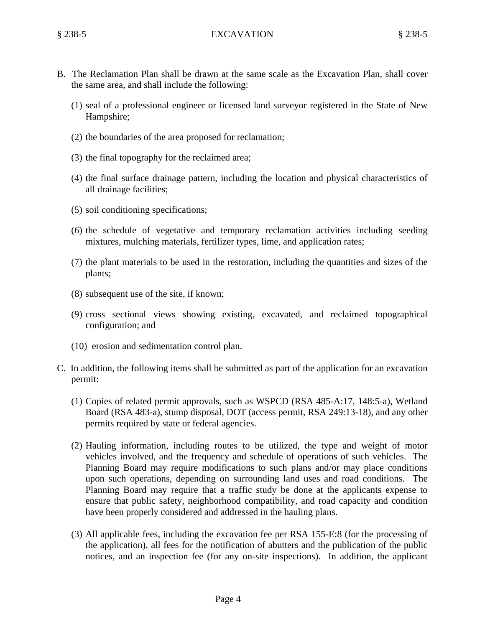- B. The Reclamation Plan shall be drawn at the same scale as the Excavation Plan, shall cover the same area, and shall include the following:
	- (1) seal of a professional engineer or licensed land surveyor registered in the State of New Hampshire;
	- (2) the boundaries of the area proposed for reclamation;
	- (3) the final topography for the reclaimed area;
	- (4) the final surface drainage pattern, including the location and physical characteristics of all drainage facilities;
	- (5) soil conditioning specifications;
	- (6) the schedule of vegetative and temporary reclamation activities including seeding mixtures, mulching materials, fertilizer types, lime, and application rates;
	- (7) the plant materials to be used in the restoration, including the quantities and sizes of the plants;
	- (8) subsequent use of the site, if known;
	- (9) cross sectional views showing existing, excavated, and reclaimed topographical configuration; and
	- (10) erosion and sedimentation control plan.
- C. In addition, the following items shall be submitted as part of the application for an excavation permit:
	- (1) Copies of related permit approvals, such as WSPCD (RSA 485-A:17, 148:5-a), Wetland Board (RSA 483-a), stump disposal, DOT (access permit, RSA 249:13-18), and any other permits required by state or federal agencies.
	- (2) Hauling information, including routes to be utilized, the type and weight of motor vehicles involved, and the frequency and schedule of operations of such vehicles. The Planning Board may require modifications to such plans and/or may place conditions upon such operations, depending on surrounding land uses and road conditions. The Planning Board may require that a traffic study be done at the applicants expense to ensure that public safety, neighborhood compatibility, and road capacity and condition have been properly considered and addressed in the hauling plans.
	- (3) All applicable fees, including the excavation fee per RSA 155-E:8 (for the processing of the application), all fees for the notification of abutters and the publication of the public notices, and an inspection fee (for any on-site inspections). In addition, the applicant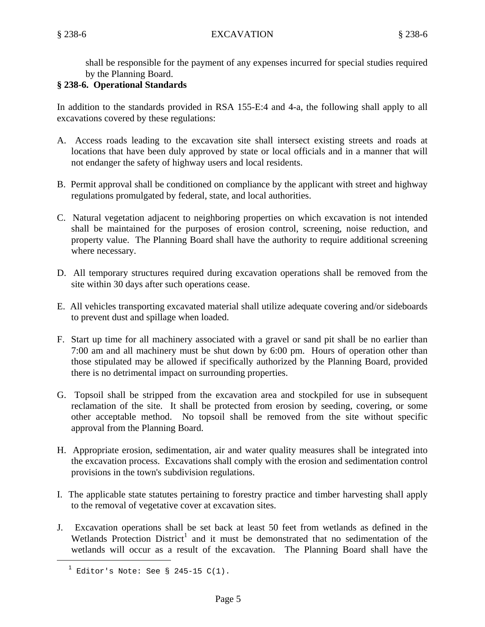shall be responsible for the payment of any expenses incurred for special studies required by the Planning Board.

## **§ 238-6. Operational Standards**

In addition to the standards provided in RSA 155-E:4 and 4-a, the following shall apply to all excavations covered by these regulations:

- A. Access roads leading to the excavation site shall intersect existing streets and roads at locations that have been duly approved by state or local officials and in a manner that will not endanger the safety of highway users and local residents.
- B. Permit approval shall be conditioned on compliance by the applicant with street and highway regulations promulgated by federal, state, and local authorities.
- C. Natural vegetation adjacent to neighboring properties on which excavation is not intended shall be maintained for the purposes of erosion control, screening, noise reduction, and property value. The Planning Board shall have the authority to require additional screening where necessary.
- D. All temporary structures required during excavation operations shall be removed from the site within 30 days after such operations cease.
- E. All vehicles transporting excavated material shall utilize adequate covering and/or sideboards to prevent dust and spillage when loaded.
- F. Start up time for all machinery associated with a gravel or sand pit shall be no earlier than 7:00 am and all machinery must be shut down by 6:00 pm. Hours of operation other than those stipulated may be allowed if specifically authorized by the Planning Board, provided there is no detrimental impact on surrounding properties.
- G. Topsoil shall be stripped from the excavation area and stockpiled for use in subsequent reclamation of the site. It shall be protected from erosion by seeding, covering, or some other acceptable method. No topsoil shall be removed from the site without specific approval from the Planning Board.
- H. Appropriate erosion, sedimentation, air and water quality measures shall be integrated into the excavation process. Excavations shall comply with the erosion and sedimentation control provisions in the town's subdivision regulations.
- I. The applicable state statutes pertaining to forestry practice and timber harvesting shall apply to the removal of vegetative cover at excavation sites.
- J. Excavation operations shall be set back at least 50 feet from wetlands as defined in the Wetlands Protection  $District<sup>1</sup>$  and it must be demonstrated that no sedimentation of the wetlands will occur as a result of the excavation. The Planning Board shall have the

i<br>Li

<sup>1</sup> Editor's Note: See § 245-15 C(1).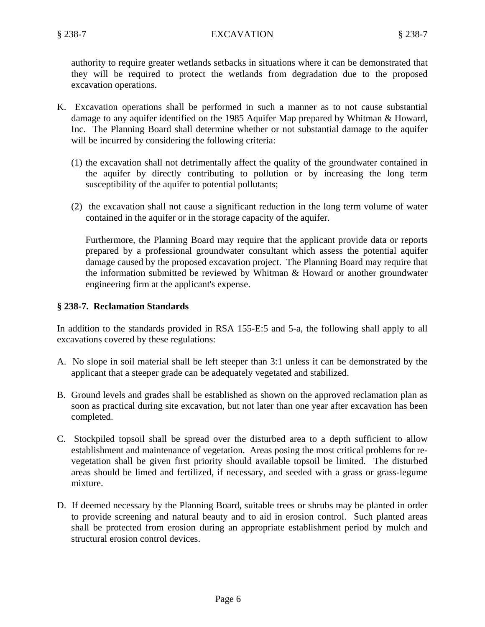authority to require greater wetlands setbacks in situations where it can be demonstrated that they will be required to protect the wetlands from degradation due to the proposed excavation operations.

- K. Excavation operations shall be performed in such a manner as to not cause substantial damage to any aquifer identified on the 1985 Aquifer Map prepared by Whitman & Howard, Inc. The Planning Board shall determine whether or not substantial damage to the aquifer will be incurred by considering the following criteria:
	- (1) the excavation shall not detrimentally affect the quality of the groundwater contained in the aquifer by directly contributing to pollution or by increasing the long term susceptibility of the aquifer to potential pollutants;
	- (2) the excavation shall not cause a significant reduction in the long term volume of water contained in the aquifer or in the storage capacity of the aquifer.

Furthermore, the Planning Board may require that the applicant provide data or reports prepared by a professional groundwater consultant which assess the potential aquifer damage caused by the proposed excavation project. The Planning Board may require that the information submitted be reviewed by Whitman & Howard or another groundwater engineering firm at the applicant's expense.

#### **§ 238-7. Reclamation Standards**

In addition to the standards provided in RSA 155-E:5 and 5-a, the following shall apply to all excavations covered by these regulations:

- A. No slope in soil material shall be left steeper than 3:1 unless it can be demonstrated by the applicant that a steeper grade can be adequately vegetated and stabilized.
- B. Ground levels and grades shall be established as shown on the approved reclamation plan as soon as practical during site excavation, but not later than one year after excavation has been completed.
- C. Stockpiled topsoil shall be spread over the disturbed area to a depth sufficient to allow establishment and maintenance of vegetation. Areas posing the most critical problems for revegetation shall be given first priority should available topsoil be limited. The disturbed areas should be limed and fertilized, if necessary, and seeded with a grass or grass-legume mixture.
- D. If deemed necessary by the Planning Board, suitable trees or shrubs may be planted in order to provide screening and natural beauty and to aid in erosion control. Such planted areas shall be protected from erosion during an appropriate establishment period by mulch and structural erosion control devices.